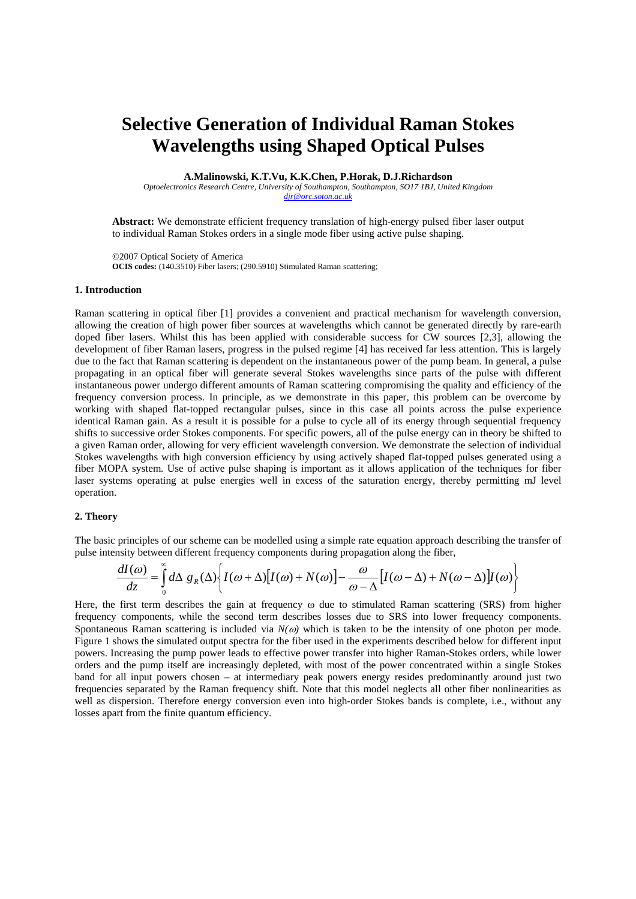# **Selective Generation of Individual Raman Stokes Wavelengths using Shaped Optical Pulses**

**A.Malinowski, K.T.Vu, K.K.Chen, P.Horak, D.J.Richardson** 

*Optoelectronics Research Centre, University of Southampton, Southampton, SO17 1BJ, United Kingdom djr@orc.soton.ac.uk*

**Abstract:** We demonstrate efficient frequency translation of high-energy pulsed fiber laser output to individual Raman Stokes orders in a single mode fiber using active pulse shaping.

©2007 Optical Society of America **OCIS codes:** (140.3510) Fiber lasers; (290.5910) Stimulated Raman scattering;

### **1. Introduction**

Raman scattering in optical fiber [1] provides a convenient and practical mechanism for wavelength conversion, allowing the creation of high power fiber sources at wavelengths which cannot be generated directly by rare-earth doped fiber lasers. Whilst this has been applied with considerable success for CW sources [2,3], allowing the development of fiber Raman lasers, progress in the pulsed regime [4] has received far less attention. This is largely due to the fact that Raman scattering is dependent on the instantaneous power of the pump beam. In general, a pulse propagating in an optical fiber will generate several Stokes wavelengths since parts of the pulse with different instantaneous power undergo different amounts of Raman scattering compromising the quality and efficiency of the frequency conversion process. In principle, as we demonstrate in this paper, this problem can be overcome by working with shaped flat-topped rectangular pulses, since in this case all points across the pulse experience identical Raman gain. As a result it is possible for a pulse to cycle all of its energy through sequential frequency shifts to successive order Stokes components. For specific powers, all of the pulse energy can in theory be shifted to a given Raman order, allowing for very efficient wavelength conversion. We demonstrate the selection of individual Stokes wavelengths with high conversion efficiency by using actively shaped flat-topped pulses generated using a fiber MOPA system. Use of active pulse shaping is important as it allows application of the techniques for fiber laser systems operating at pulse energies well in excess of the saturation energy, thereby permitting mJ level operation.

#### **2. Theory**

The basic principles of our scheme can be modelled using a simple rate equation approach describing the transfer of pulse intensity between different frequency components during propagation along the fiber,

$$
\frac{dI(\omega)}{dz} = \int_{0}^{\infty} d\Delta g_R(\Delta) \left\{ I(\omega + \Delta) [I(\omega) + N(\omega)] - \frac{\omega}{\omega - \Delta} [I(\omega - \Delta) + N(\omega - \Delta)] I(\omega) \right\}
$$

Here, the first term describes the gain at frequency  $\omega$  due to stimulated Raman scattering (SRS) from higher frequency components, while the second term describes losses due to SRS into lower frequency components. Spontaneous Raman scattering is included via *N(ω)* which is taken to be the intensity of one photon per mode. Figure 1 shows the simulated output spectra for the fiber used in the experiments described below for different input powers. Increasing the pump power leads to effective power transfer into higher Raman-Stokes orders, while lower orders and the pump itself are increasingly depleted, with most of the power concentrated within a single Stokes band for all input powers chosen – at intermediary peak powers energy resides predominantly around just two frequencies separated by the Raman frequency shift. Note that this model neglects all other fiber nonlinearities as well as dispersion. Therefore energy conversion even into high-order Stokes bands is complete, i.e., without any losses apart from the finite quantum efficiency.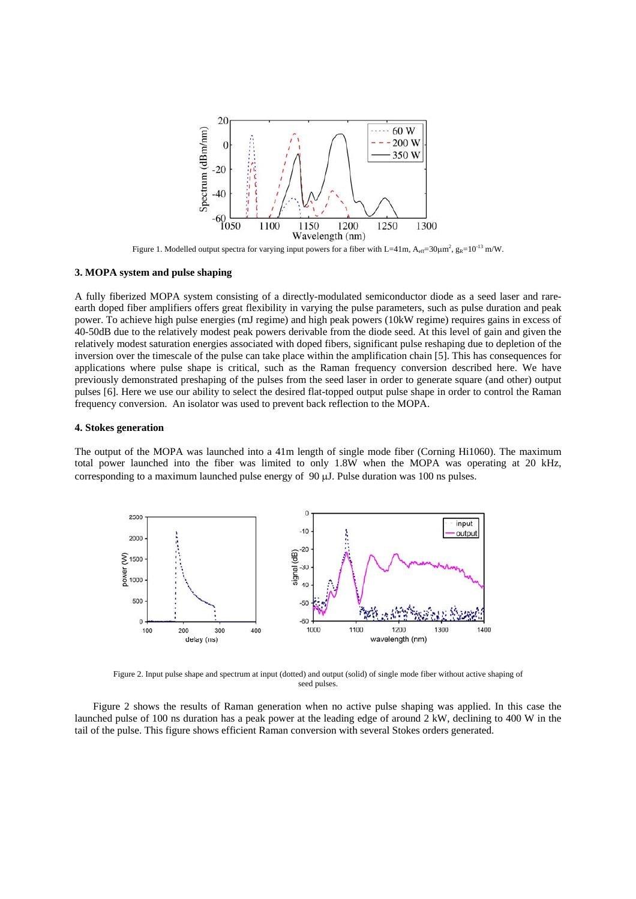

Figure 1. Modelled output spectra for varying input powers for a fiber with L=41m,  $A_{eff}=30 \mu m^2$ ,  $g_R=10^{-13}$  m/W.

## **3. MOPA system and pulse shaping**

A fully fiberized MOPA system consisting of a directly-modulated semiconductor diode as a seed laser and rareearth doped fiber amplifiers offers great flexibility in varying the pulse parameters, such as pulse duration and peak power. To achieve high pulse energies (mJ regime) and high peak powers (10kW regime) requires gains in excess of 40-50dB due to the relatively modest peak powers derivable from the diode seed. At this level of gain and given the relatively modest saturation energies associated with doped fibers, significant pulse reshaping due to depletion of the inversion over the timescale of the pulse can take place within the amplification chain [5]. This has consequences for applications where pulse shape is critical, such as the Raman frequency conversion described here. We have previously demonstrated preshaping of the pulses from the seed laser in order to generate square (and other) output pulses [6]. Here we use our ability to select the desired flat-topped output pulse shape in order to control the Raman frequency conversion. An isolator was used to prevent back reflection to the MOPA.

#### **4. Stokes generation**

The output of the MOPA was launched into a 41m length of single mode fiber (Corning Hi1060). The maximum total power launched into the fiber was limited to only 1.8W when the MOPA was operating at 20 kHz, corresponding to a maximum launched pulse energy of 90 μJ. Pulse duration was 100 ns pulses.



Figure 2. Input pulse shape and spectrum at input (dotted) and output (solid) of single mode fiber without active shaping of seed pulses.

Figure 2 shows the results of Raman generation when no active pulse shaping was applied. In this case the launched pulse of 100 ns duration has a peak power at the leading edge of around 2 kW, declining to 400 W in the tail of the pulse. This figure shows efficient Raman conversion with several Stokes orders generated.